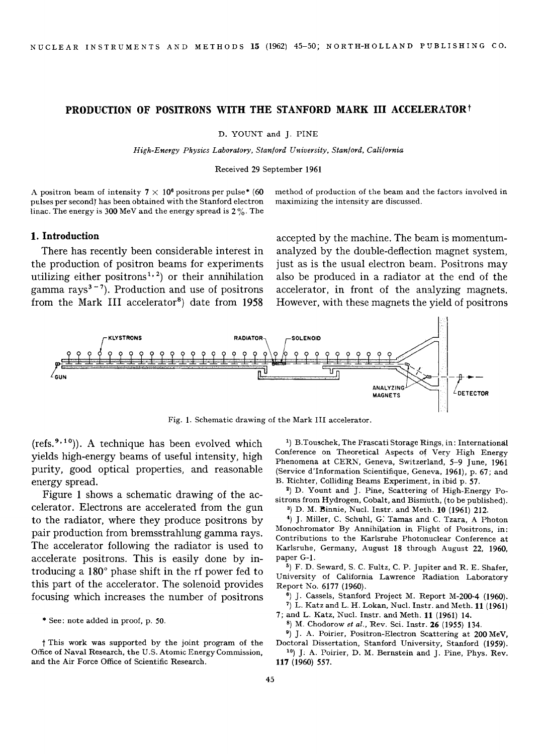## **PRODUCTION OF POSITRONS WITH THE STANFORD MARK III ACCELERATORt**

D. YOUNT and J. PINE

*High-Energy Physics Laboratory, Stan/ord University, Stan[ord, Cali/ornia* 

Received 29 September 1961

A positron beam of intensity  $7 \times 10^6$  positrons per pulse\* (60) pulses per second) has been obtained with the Stanford electron linac. The energy is 300 MeV and the energy spread is  $2\%$ . The method of production of the beam and the factors involved in maximizing the intensity are discussed.

## 1. Introduction

There has recently been considerable interest in the production of positron beams for experiments utilizing either positrons<sup>1,2</sup>) or their annihilation gamma rays<sup> $3-7$ </sup>). Production and use of positrons from the Mark III accelerator<sup>8</sup>) date from  $1958$ 

accepted by the machine. The beam is momentumanalyzed by the double-deflection magnet system, just as is the usual electron beam. Positrons may also be produced in a radiator at the end of the accelerator, in front of the analyzing magnets. However, with these magnets the yield of positrons



Fig. 1. Schematic drawing of the Mark 11I accelerator.

(refs.<sup>9,10</sup>)). A technique has been evolved which yields high-energy beams of useful intensity, high purity, good optical properties, and reasonable energy spread.

Figure 1 shows a schematic drawing of the accelerator. Electrons are accelerated from the gun to the radiator, where they produce positrons by pair production from bremsstrahlung gamma rays. The accelerator following the radiator is used to accelerate positrons. This is easily done by introducing a  $180^\circ$  phase shift in the rf power fed to this part of the accelerator. The solenoid provides focusing which increases the number of positrons

1) B.Touschek, The Frascati Storage Rings, in: International Conference on Theoretical Aspects of Very High Energy Phenomena at CERN, Geneva, Switzerland, 5-9 June, 1961 (Service d'Informafion Scientifique, Geneva, 1961), p. 67; and B. Richter, Colliding Beams Experiment, in ibid p. 57.

3) D. Yount and J. Pine, Scattering of High-Energy Positrons from Hydrogen, Cobalt, and Bismuth, (to be published). a) D. M. Binnie, Nucl. Instr. and Meth. 10 (1961) 212.

4) j. Miller, C. Schuhl, G: Tamas and C. Tzara, A Photon Monochromator By Annihilation in Flight of Positrons, in: Contributions to the Karlsruhe Photonuclear Conference at Karlsruhe, Germany, August 18 through August 22, 1960, paper G-1.

 $5$ ) F. D. Seward, S. C. Fultz, C. P. Jupiter and R. E. Shafer, University of California Lawrence Radiation Laboratory Report No. 6177 (1960).

6) j. Cassels, Stanford Project M. Report M-200-4 (1960).

 $7)$  L. Katz and L. H. Lokan, Nucl. Instr. and Meth. 11 (1961) 7; and L. Katz, Nucl. Instr. and Meth. 11 (1961) 14.

s) M. Chodorow *et al.,* Rev. Sci. Instr. 26 (1955) 134.

3) j. A. Poirier, Positron-Electron Scattering at 200 MeV, Doctoral Dissertation, Stanford University, Stanford (1959).

10) j: A. Poirier, D. M. Bernstein and J. Pine, Phys. Rev. 117 (1960) 557.

<sup>\*</sup> See: note added in proof, p. 50.

This work was supported by the joint program of the Office of Naval Research, the U.S. Atomic Energy Commission, and the Air Force Office of Scientific Research.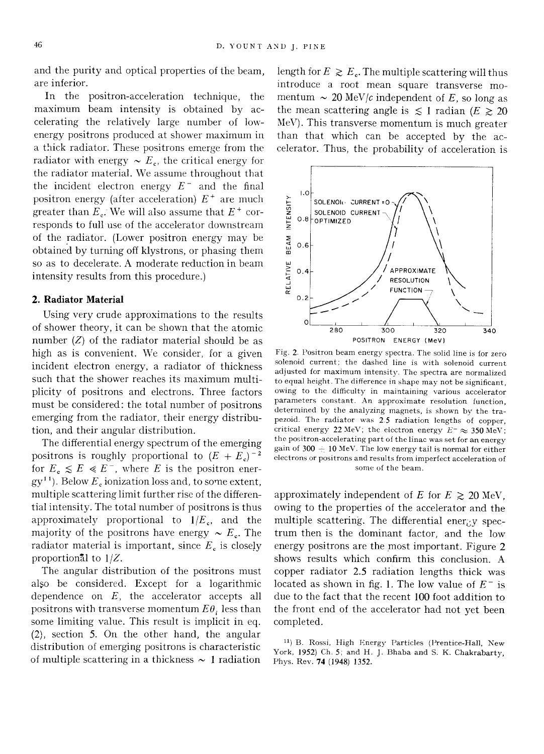and the purity and optical properties of the beam, are inferior.

In the positron-acceleration technique, the maximum beam intensity is obtained by accelerating the relatively large number of lowenergy positrons produced at shower maximum in a thick radiator. These positrons emerge from the radiator with energy  $\sim E_c$ , the critical energy for the radiator material. We assume throughout that the incident electron energy  $E^-$  and the final positron energy (after acceleration)  $E^+$  are much greater than  $E_c$ . We will also assume that  $E^+$  corresponds to full use of the accelerator downstream of the radiator. (Lower positron energy may be obtained by turning off klystrons, or phasing them so as to decelerate. A moderate reduction in beam intensity results from this procedure.)

## **2. Radiator Material**

Using very crude approximations to the results of shower theory, it can be shown that the atomic number  $(Z)$  of the radiator material should be as high as is convenient. We consider, for a given incident electron energy, a radiator of thickness such that the shower reaches its maximum multiplicity of positrons and electrons. Three factors must be considered: the total number of positrons emerging from the radiator, their energy distribution, and their angular distribution.

The differential energy spectrum of the emerging positrons is roughly proportional to  $(E + E_c)^{-2}$ for  $E_c \leq E \leq E^-$ , where E is the positron ener $gy<sup>11</sup>$ ). Below  $E<sub>e</sub>$  ionization loss and, to some extent, multiple scattering limit further rise of the differential intensity. The total number of positrons is thus approximately proportional to  $1/E_c$ , and the majority of the positrons have energy  $\sim E_c$ . The radiator material is important, since  $E_c$  is closely proportional to *1/Z.* 

The angular distribution of the positrons must also be considered. Except for a logarithmic dependence on *E,* the accelerator accepts all positrons with transverse momentum  $E\theta_i$  less than some limiting value. This result is implicit in eq.  $(2)$ , section 5. On the other hand, the angular distribution of emerging positrons is characteristic of multiple scattering in a thickness  $\sim 1$  radiation

length for  $E \ge E_c$ . The multiple scattering will thus introduce a root mean square transverse momentum  $\sim 20$  MeV/c independent of E, so long as the mean scattering angle is  $\leq 1$  radian ( $E \geq 20$ MeV). This transverse momentum is much greater than that which can be accepted by the accelerator. Thus, the probability of acceleration is



Fig. 2. Positron beam energy spectra. The solid line is for zero solenoid current; the dashed line is with solenoid current adjusted for maximum intensity. The spectra are normalized to equal height. The difference in shape may not be significant, owing to the difficulty in maintaining various accelerator parameters constant. An approximate resolution function, determined by the analyzing magnets, is shown by the trapezoid. The radiator was 2.5 radiation lengths of copper, critical energy 22 MeV; the electron energy  $E^- \approx 350 \,\text{MeV}$ ; the positron-accelerating part of the linac was set for an energy gain of  $300 + 10$  MeV. The low energy tail is normal for either electrons or positrons and results from imperfect acceleration of some of the beam.

approximately independent of E for  $E \ge 20$  MeV. owing to the properties of the accelerator and the multiple scattering. The differential energy spectrum then is the dominant factor, and the low energy positrons are the most important. Figure 2 shows results which confirm this conclusion. A copper radiator 2.5 radiation lengths thick was located as shown in fig. 1. The low value of  $E^-$  is due to the fact that the recent 100 foot addition to the front end of the accelerator had not yet been completed.

<sup>11)</sup> B. Rossi, High Energy Particles (Prentice-Itall, New York, 1952) Ch. 5; and H. J. Bhaba and S. K. Chakrabarty, Phys. Rev. 74 (1948) 1352.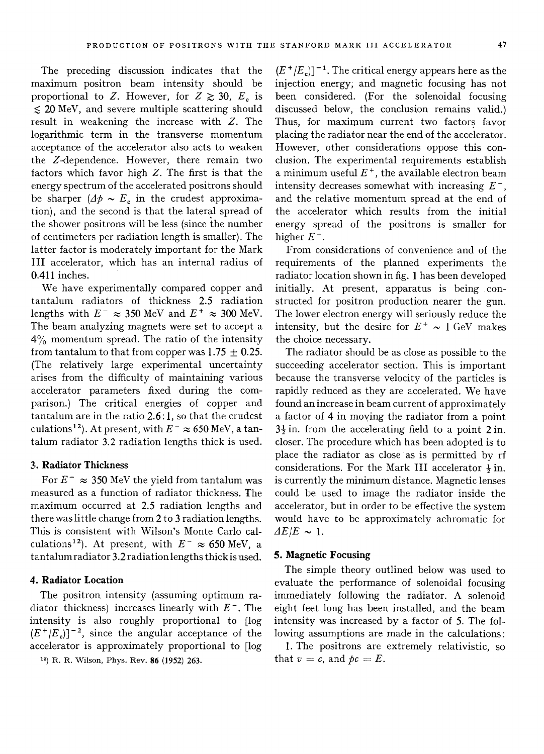The preceding discussion indicates that the maximum positron beam intensity should be proportional to Z. However, for  $Z \ge 30$ ,  $E_c$  is  $\leq$  20 MeV, and severe multiple scattering should result in weakening the increase with Z. The logarithmic term in the transverse momentum acceptance of the accelerator also acts to weaken the Z-dependence. However, there remain two factors which favor high  $Z$ . The first is that the energy spectrum of the accelerated positrons should be sharper  $(\Delta \phi \sim E_c)$  in the crudest approximation), and the second is that the lateral spread of the shower positrons will be less (since the number of centimeters per radiation length is smaller). The latter factor is moderately important for the Mark III accelerator, which has an internal radius of 0.411 inches.

We have experimentally compared copper and tantalum radiators of thickness 2.5 radiation lengths with  $E^- \approx 350$  MeV and  $E^+ \approx 300$  MeV. The beam analyzing magnets were set to accept a 4% momentum spread. The ratio of the intensity from tantalum to that from copper was  $1.75 \pm 0.25$ . (The relatively large experimental uncertainty arises from the difficulty of maintaining various accelerator parameters fixed during the comparison.) The critical energies of copper and tantalum are in the ratio 2.6: 1, so that the crudest culations<sup>12</sup>). At present, with  $E^- \approx 650$  MeV, a tantalum radiator 3.2 radiation lengths thick is used.

# **3;. Radiator Thickness**

For  $E^- \approx 350$  MeV the yield from tantalum was measured as a function of radiator thickness. The maximum occurred at 2.5 radiation lengths and there was little change from 2 to 3 radiation lengths. This is consistent with Wilson's Monte Carlo calculations<sup>12</sup>). At present, with  $E^- \approx 650$  MeV, a tantalum radiator 3.2 radiation lengths thick is used.

# **4. Radiator Location**

The positron intensity (assuming optimum radiator thickness) increases linearly with  $E^-$ . The intensity is also roughly proportional to [log  $(E^+/E_c)]^{-2}$ , since the angular acceptance of the accelerator is approximately proportional to [log

13) R. R. Wilson, Phys. Rev. 86 (1952) 263.

 $(E^+ / E_c)$ <sup>-1</sup>. The critical energy appears here as the injection energy; and magnetic focusing has not been considered. (For the solenoidal focusing discussed below, the conclusion remains valid.) Thus, for maximum current two factors favor placing the radiator near the end of the accelerator. However, other considerations oppose this conclusion. The experimental requirements establish a minimum useful  $E^+$ , the available electron beam intensity decreases somewhat with increasing  $E^-$ , and the relative momentum spread at the end of the accelerator which results from the initial energy spread of the positrons is smaller for higher  $E^+$ .

From considerations of convenience and of the requirements of the planned experiments the radiator location shown in fig. 1 has been developed initially. At present, apparatus is being constructed for positron production nearer the gun. The lower electron energy will seriously reduce the intensity, but the desire for  $E^+ \sim 1$  GeV makes the choice necessary.

The radiator should be as close as possible to the succeeding accelerator section. This is important because the transverse velocity of the particles is rapidly reduced as they are accelerated. We have found an increase in beam current of approximately a factor of 4 in moving the radiator from a point  $3\frac{1}{2}$  in. from the accelerating field to a point 2 in. closer. The procedure which has been adopted is to place the radiator as close as is permitted by rf considerations. For the Mark III accelerator  $\frac{1}{2}$  in. is currently the minimum distance. Magnetic lenses could be used to image the radiator inside the accelerator, but in order to be effective the system would have to be approximately achromatic for  $\Delta E/E \sim 1.$ 

### **5. Magnetic Focusing**

The simple theory outlined below was used to evaluate the performance of solenoidal focusing immediately following the radiator. A solenoid eight feet long has been installed, and the beam intensity was increased by a factor of 5. The following assumptions are made in the calculations:

1. The positrons are extremely relativistic, so that  $v = c$ , and  $\phi c = E$ .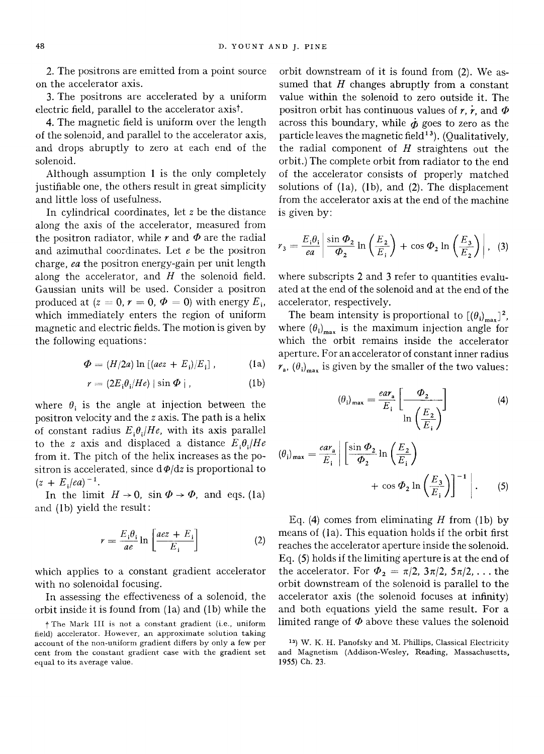2. The positrons are emitted from a point source on the accelerator axis.

3. The positrons are accelerated by a uniform electric field, parallel to the accelerator axist.

4. The magnetic field is uniform over the length of the solenoid, and parallel to the accelerator axis, and drops abruptly to zero at each end of the solenoid.

Although assumption 1 is the only completely justifiable one, the others result in great simplicity and little loss of usefulness.

In cylindrical coordinates, let  $z$  be the distance along the axis of the accelerator, measured from the positron radiator, while  $r$  and  $\Phi$  are the radial and azimuthal coordinates. Let  $e$  be the positron charge, *ea* the positron energy-gain per unit length along the accelerator, and  $H$  the solenoid field. Gaussian units will be used. Consider a positron produced at ( $z = 0$ ,  $r = 0$ ,  $\Phi = 0$ ) with energy  $E_i$ , which immediately enters the region of uniform magnetic and electric fields. The motion is given by the following equations:

$$
\Phi = (H/2a) \ln \left[ (a e z + E_i) / E_i \right], \tag{1a}
$$

$$
r = (2E_i \theta_i / He) | \sin \Phi | , \qquad (1b)
$$

where  $\theta_i$  is the angle at injection between the positron velocity and the z axis. The path is a helix of constant radius  $E_i \theta_j / He$ , with its axis parallel to the *z* axis and displaced a distance  $E_i\theta_i/He$ from it. The pitch of the helix increases as the positron is accelerated, since  $d\phi/dz$  is proportional to  $(z + E_i/ea)^{-1}$ .

In the limit  $H \rightarrow 0$ , sin  $\Phi \rightarrow \Phi$ , and eqs. (1a) and (lb) yield the result:

$$
r = \frac{E_i \theta_i}{ae} \ln \left[ \frac{aez + E_i}{E_i} \right] \tag{2}
$$

which applies to a constant gradient accelerator with no solenoidal focusing.

In assessing the effectiveness of a solenoid, the orbit inside it is found from (la) and (lb) while the

orbit downstream of it is found from (2). We assumed that  $H$  changes abruptly from a constant value within the solenoid to zero outside it. The positron orbit has continuous values of  $r, \dot{r}$ , and  $\Phi$ across this boundary, while  $\dot{\phi}$  goes to zero as the particle leaves the magnetic field<sup>13</sup>). (Qualitatively, the radial component of  $H$  straightens out the orbit.) The complete orbit from radiator to the end of the accelerator consists of properly matched solutions of (la), (lb), and (2). The displacement from the accelerator axis at the end of the machine is given by:

$$
r_3 = \frac{E_i \theta_i}{ea} \left| \frac{\sin \Phi_2}{\Phi_2} \ln \left( \frac{E_2}{E_i} \right) + \cos \Phi_2 \ln \left( \frac{E_3}{E_2} \right) \right|, \quad (3)
$$

where subscripts 2 and 3 refer to quantities evaluated at the end of the solenoid and at the end of the accelerator, respectively.

The beam intensity is proportional to  $[(\theta_i)_{max}]^2$ , where  $(\theta_i)_{max}$  is the maximum injection angle for which the orbit remains inside the accelerator aperture. For an accelerator of constant inner radius  $r_a$ ,  $(\theta_i)_{max}$  is given by the smaller of the two values:

$$
(\theta_{i})_{\max} = \frac{ear_{a}}{E_{i}} \left[ \frac{\Phi_{2}}{\ln \left( \frac{E_{2}}{E_{i}} \right)} \right]
$$
(4)

$$
(\theta_{i})_{\max} = \frac{ear_{a}}{E_{i}} \left| \frac{\sin \Phi_{2}}{\Phi_{2}} \ln \left( \frac{E_{2}}{E_{i}} \right) + \cos \Phi_{2} \ln \left( \frac{E_{3}}{E_{i}} \right) \right|^{-1} \Big| . \qquad (5)
$$

Eq. (4) comes from eliminating  $H$  from (1b) by means of (la). This equation holds if the orbit first reaches the accelerator aperture inside the solenoid. Eq. (5) holds if the limiting aperture is at the end of the accelerator. For  $\Phi_2 = \pi/2$ ,  $3\pi/2$ ,  $5\pi/2$ , ... the orbit downstream of the solenoid is parallel to the accelerator axis (the solenoid focuses at infinity) and both equations yield the same result. For a limited range of  $\Phi$  above these values the solenoid

t The Mark III is not a constant gradient (i.e., uniform field) accelerator. However, an approximate solution taking account of the non-uniform gradient differs by only a few per cent from the constant gradient case with the gradient set equal to its average value.

<sup>&</sup>lt;sup>13</sup>) W. K. H. Panofsky and M. Phillips, Classical Electricity and Magnetism (Addison-Wesley, Reading, Massachusetts, 1955) Ch. 23.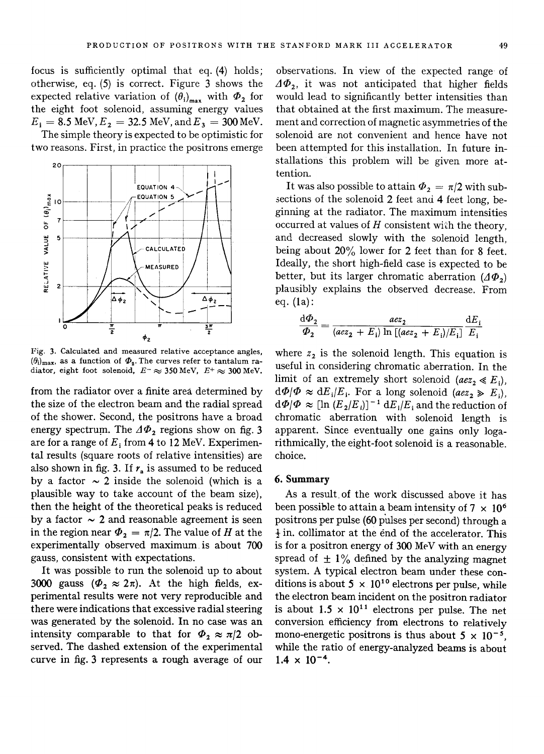focus is sufficiently optimal that eq. (4) holds; otherwise, eq. (5) is correct. Figure 3 shows the expected relative variation of  $(\theta_i)_{\text{max}}$  with  $\Phi_2$  for the eight foot solenoid, assuming energy values  $E_i = 8.5 \text{ MeV}, E_i = 32.5 \text{ MeV}, \text{and } E_i = 300 \text{ MeV}.$ 

The simple theory is expected to be optimistic for two reasons. First, in practice the positrons emerge



Fig. 3. Calculated and measured relative acceptance angles,  $(\theta_i)_{\text{max}}$ , as a function of  $\Phi_2$ . The curves refer to tantalum radiator, eight foot solenoid,  $E^- \approx 350$  MeV,  $E^+ \approx 300$  MeV.

from the radiator over a finite area determined by the size of the electron beam and the radial spread of the shower. Second, the positrons have a broad energy spectrum. The  $\Delta \Phi_2$  regions show on fig. 3 are for a range of  $E_1$  from 4 to 12 MeV. Experimental results (square roots of relative intensities) are also shown in fig. 3. If  $r<sub>a</sub>$  is assumed to be reduced by a factor  $\sim$  2 inside the solenoid (which is a plausible way to take account of the beam size), then the height of the theoretical peaks is reduced by a factor  $\sim$  2 and reasonable agreement is seen in the region near  $\Phi_2 = \pi/2$ . The value of H at the experimentally observed maximum\_ is about 700 gauss, consistent with expectations.

It was possible to run the solenoid up to about 3000 gauss ( $\Phi_2 \approx 2\pi$ ). At the high fields, experimental results were not very reproducible and there were indications that excessive radial steering was generated by the solenoid. In no case was an intensity comparable to that for  $\Phi_2 \approx \pi/2$  observed. The dashed extension of the experimental curve in fig. 3 represents a rough average of our observations. In view of the expected range of  $\Delta \Phi_2$ , it was not anticipated that higher fields would lead to significantly better intensities than that obtained at the first maximum. The measurement and correction of magnetic asymmetries of the solenoid are not convenient and hence have not been attempted for this installation. In future installations this problem will be given more attention.

It was also possible to attain  $\Phi_2 = \pi/2$  with subsections of the solenoid 2 feet and 4 feet long, beginning at the radiator. The maximum intensities occurred at values of  $H$  consistent with the theory, and decreased slowly with the solenoid length, being about 20% lower for 2 feet than for 8 feet. Ideally, the short high-field case is expected to be better, but its larger chromatic aberration  $(\Delta \Phi_2)$ plausibly explains the observed decrease. From eq. (la):

$$
\frac{\mathrm{d}\Phi_2}{\Phi_2} = \frac{az_2}{(a e z_2 + E_i) \ln \left[ (a e z_2 + E_i) / E_i \right]} \frac{\mathrm{d}E_i}{E_i}
$$

where  $z_2$  is the solenoid length. This equation is useful in considering chromatic aberration. In the limit of an extremely short solenoid  $(aez_2 \ll E_i)$ ,  $d\Phi/\Phi \approx dE_i/E_i$ . For a long solenoid *(aez*<sub>2</sub>  $\gg E_i$ ),  $d\Phi/\Phi \approx [\ln(E_2/E_i)]^{-1} dE_i/E_i$  and the reduction of chromatic aberration with solenoid length is apparent. Since eventually one gains only logarithmically, the eight-foot solenoid is a reasonable. choice.

### **6. Summary**

As a result of the work discussed above it has been possible to attain a beam intensity of  $7 \times 10^6$ positrons per pulse (60 pulses per second) through a  $\frac{1}{2}$  in. collimator at the end of the accelerator. This is for a positron energy of 300 MeV with an energy spread of  $\pm$  1% defined by the analyzing magnet system. A typical electron beam under these conditions is about 5  $\times$  10<sup>10</sup> electrons per pulse, while the electron beam incident on the positron radiator is about  $1.5 \times 10^{11}$  electrons per pulse. The net conversion efficiency from electrons to relatively mono-energetic positrons is thus about  $5 \times 10^{-5}$ , while the ratio of energy-analyzed beams is about  $1.4 \times 10^{-4}$ .